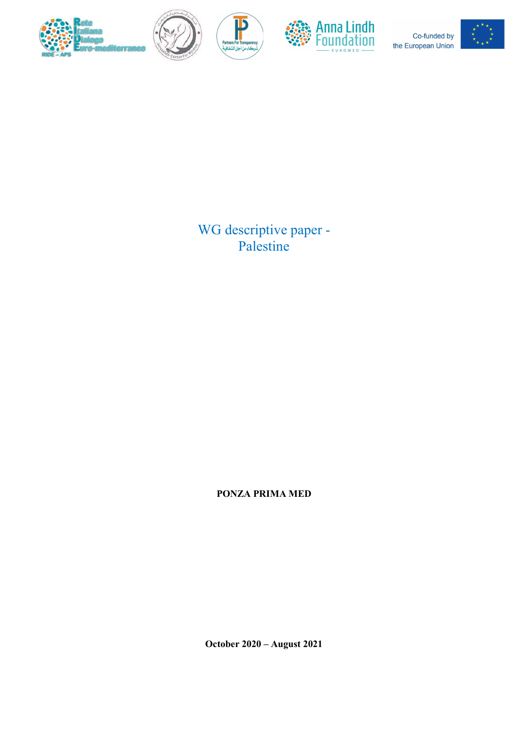



 $\mathbf{P}$ 



Co-funded by the European Union



WG descriptive paper - Palestine

PONZA PRIMA MED

October 2020 – August 2021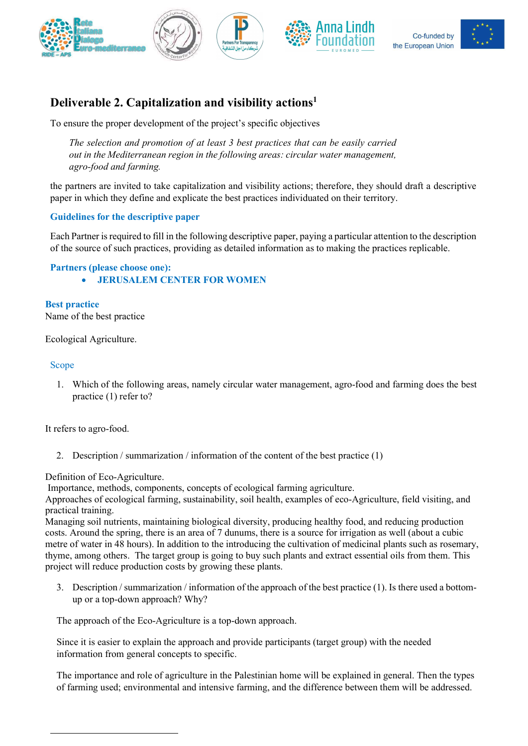





# Deliverable 2. Capitalization and visibility actions<sup>1</sup>

To ensure the proper development of the project's specific objectives

The selection and promotion of at least 3 best practices that can be easily carried out in the Mediterranean region in the following areas: circular water management, agro-food and farming.

the partners are invited to take capitalization and visibility actions; therefore, they should draft a descriptive paper in which they define and explicate the best practices individuated on their territory.

# Guidelines for the descriptive paper

Each Partner is required to fill in the following descriptive paper, paying a particular attention to the description of the source of such practices, providing as detailed information as to making the practices replicable.

# Partners (please choose one):

JERUSALEM CENTER FOR WOMEN

Best practice Name of the best practice

Ecological Agriculture.

## Scope

1. Which of the following areas, namely circular water management, agro-food and farming does the best practice (1) refer to?

It refers to agro-food.

2. Description / summarization / information of the content of the best practice (1)

Definition of Eco-Agriculture.

Importance, methods, components, concepts of ecological farming agriculture.

Approaches of ecological farming, sustainability, soil health, examples of eco-Agriculture, field visiting, and practical training.

Managing soil nutrients, maintaining biological diversity, producing healthy food, and reducing production costs. Around the spring, there is an area of 7 dunums, there is a source for irrigation as well (about a cubic metre of water in 48 hours). In addition to the introducing the cultivation of medicinal plants such as rosemary, thyme, among others. The target group is going to buy such plants and extract essential oils from them. This project will reduce production costs by growing these plants.

3. Description / summarization / information of the approach of the best practice (1). Is there used a bottomup or a top-down approach? Why?

The approach of the Eco-Agriculture is a top-down approach.

Since it is easier to explain the approach and provide participants (target group) with the needed information from general concepts to specific.

The importance and role of agriculture in the Palestinian home will be explained in general. Then the types of farming used; environmental and intensive farming, and the difference between them will be addressed.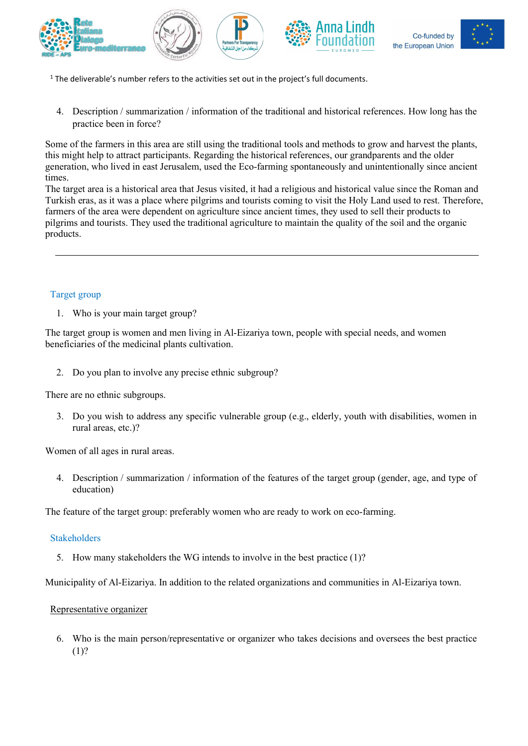









- $<sup>1</sup>$  The deliverable's number refers to the activities set out in the project's full documents.</sup>
- 4. Description / summarization / information of the traditional and historical references. How long has the practice been in force?

Some of the farmers in this area are still using the traditional tools and methods to grow and harvest the plants, this might help to attract participants. Regarding the historical references, our grandparents and the older generation, who lived in east Jerusalem, used the Eco-farming spontaneously and unintentionally since ancient times.

The target area is a historical area that Jesus visited, it had a religious and historical value since the Roman and Turkish eras, as it was a place where pilgrims and tourists coming to visit the Holy Land used to rest. Therefore, farmers of the area were dependent on agriculture since ancient times, they used to sell their products to pilgrims and tourists. They used the traditional agriculture to maintain the quality of the soil and the organic products.

# Target group

1. Who is your main target group?

The target group is women and men living in Al-Eizariya town, people with special needs, and women beneficiaries of the medicinal plants cultivation.

2. Do you plan to involve any precise ethnic subgroup?

There are no ethnic subgroups.

3. Do you wish to address any specific vulnerable group (e.g., elderly, youth with disabilities, women in rural areas, etc.)?

Women of all ages in rural areas.

4. Description / summarization / information of the features of the target group (gender, age, and type of education)

The feature of the target group: preferably women who are ready to work on eco-farming.

# Stakeholders

5. How many stakeholders the WG intends to involve in the best practice (1)?

Municipality of Al-Eizariya. In addition to the related organizations and communities in Al-Eizariya town.

#### Representative organizer

6. Who is the main person/representative or organizer who takes decisions and oversees the best practice (1)?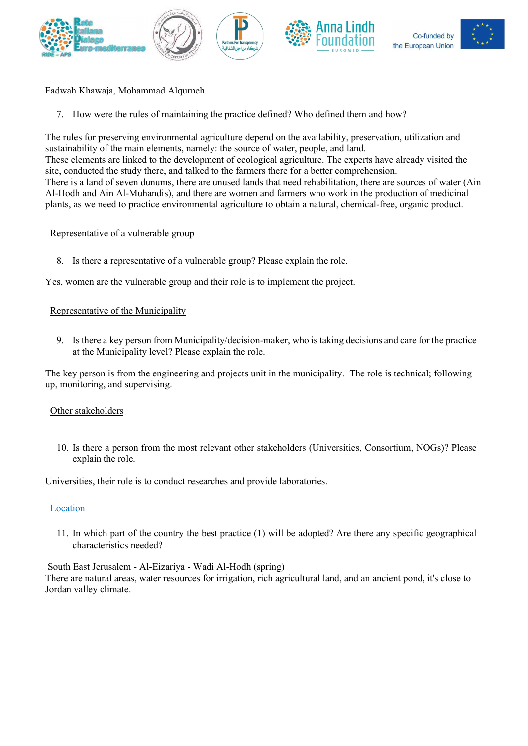









Fadwah Khawaja, Mohammad Alqurneh.

7. How were the rules of maintaining the practice defined? Who defined them and how?

The rules for preserving environmental agriculture depend on the availability, preservation, utilization and sustainability of the main elements, namely: the source of water, people, and land.

These elements are linked to the development of ecological agriculture. The experts have already visited the site, conducted the study there, and talked to the farmers there for a better comprehension.

There is a land of seven dunums, there are unused lands that need rehabilitation, there are sources of water (Ain Al-Hodh and Ain Al-Muhandis), and there are women and farmers who work in the production of medicinal plants, as we need to practice environmental agriculture to obtain a natural, chemical-free, organic product.

## Representative of a vulnerable group

8. Is there a representative of a vulnerable group? Please explain the role.

Yes, women are the vulnerable group and their role is to implement the project.

## Representative of the Municipality

9. Is there a key person from Municipality/decision-maker, who is taking decisions and care for the practice at the Municipality level? Please explain the role.

The key person is from the engineering and projects unit in the municipality. The role is technical; following up, monitoring, and supervising.

#### Other stakeholders

10. Is there a person from the most relevant other stakeholders (Universities, Consortium, NOGs)? Please explain the role.

Universities, their role is to conduct researches and provide laboratories.

#### **Location**

11. In which part of the country the best practice (1) will be adopted? Are there any specific geographical characteristics needed?

South East Jerusalem - Al-Eizariya - Wadi Al-Hodh (spring)

There are natural areas, water resources for irrigation, rich agricultural land, and an ancient pond, it's close to Jordan valley climate.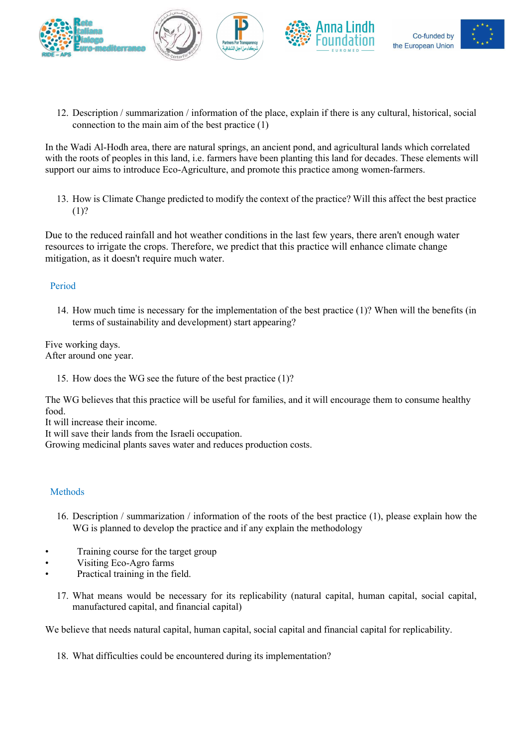









12. Description / summarization / information of the place, explain if there is any cultural, historical, social connection to the main aim of the best practice (1)

In the Wadi Al-Hodh area, there are natural springs, an ancient pond, and agricultural lands which correlated with the roots of peoples in this land, i.e. farmers have been planting this land for decades. These elements will support our aims to introduce Eco-Agriculture, and promote this practice among women-farmers.

13. How is Climate Change predicted to modify the context of the practice? Will this affect the best practice (1)?

Due to the reduced rainfall and hot weather conditions in the last few years, there aren't enough water resources to irrigate the crops. Therefore, we predict that this practice will enhance climate change mitigation, as it doesn't require much water.

# Period

14. How much time is necessary for the implementation of the best practice (1)? When will the benefits (in terms of sustainability and development) start appearing?

Five working days. After around one year.

15. How does the WG see the future of the best practice (1)?

The WG believes that this practice will be useful for families, and it will encourage them to consume healthy food.

It will increase their income.

It will save their lands from the Israeli occupation.

Growing medicinal plants saves water and reduces production costs.

# **Methods**

- 16. Description / summarization / information of the roots of the best practice (1), please explain how the WG is planned to develop the practice and if any explain the methodology
- Training course for the target group
- Visiting Eco-Agro farms
- Practical training in the field.
	- 17. What means would be necessary for its replicability (natural capital, human capital, social capital, manufactured capital, and financial capital)

We believe that needs natural capital, human capital, social capital and financial capital for replicability.

18. What difficulties could be encountered during its implementation?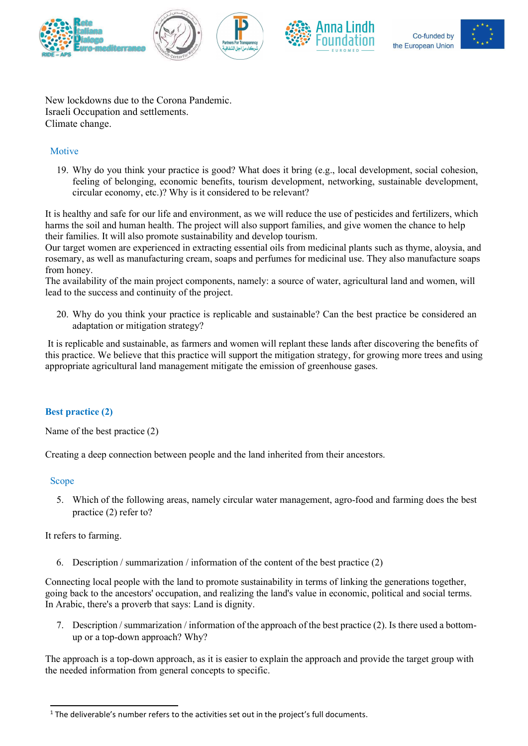







New lockdowns due to the Corona Pandemic. Israeli Occupation and settlements. Climate change.

# **Motive**

19. Why do you think your practice is good? What does it bring (e.g., local development, social cohesion, feeling of belonging, economic benefits, tourism development, networking, sustainable development, circular economy, etc.)? Why is it considered to be relevant?

It is healthy and safe for our life and environment, as we will reduce the use of pesticides and fertilizers, which harms the soil and human health. The project will also support families, and give women the chance to help their families. It will also promote sustainability and develop tourism.

Our target women are experienced in extracting essential oils from medicinal plants such as thyme, aloysia, and rosemary, as well as manufacturing cream, soaps and perfumes for medicinal use. They also manufacture soaps from honey.

The availability of the main project components, namely: a source of water, agricultural land and women, will lead to the success and continuity of the project.

20. Why do you think your practice is replicable and sustainable? Can the best practice be considered an adaptation or mitigation strategy?

 It is replicable and sustainable, as farmers and women will replant these lands after discovering the benefits of this practice. We believe that this practice will support the mitigation strategy, for growing more trees and using appropriate agricultural land management mitigate the emission of greenhouse gases.

# Best practice (2)

Name of the best practice (2)

Creating a deep connection between people and the land inherited from their ancestors.

# Scope

5. Which of the following areas, namely circular water management, agro-food and farming does the best practice (2) refer to?

It refers to farming.

6. Description / summarization / information of the content of the best practice (2)

Connecting local people with the land to promote sustainability in terms of linking the generations together, going back to the ancestors' occupation, and realizing the land's value in economic, political and social terms. In Arabic, there's a proverb that says: Land is dignity.

7. Description / summarization / information of the approach of the best practice (2). Is there used a bottomup or a top-down approach? Why?

The approach is a top-down approach, as it is easier to explain the approach and provide the target group with the needed information from general concepts to specific.

 $1$  The deliverable's number refers to the activities set out in the project's full documents.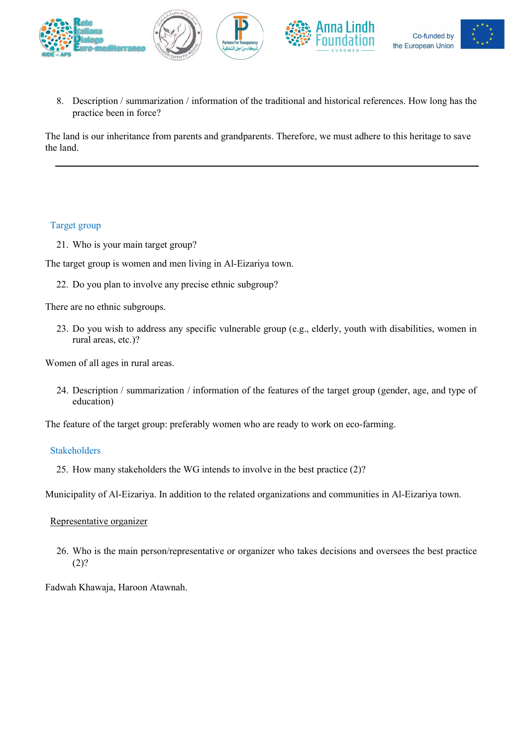

8. Description / summarization / information of the traditional and historical references. How long has the practice been in force?

The land is our inheritance from parents and grandparents. Therefore, we must adhere to this heritage to save the land.

## Target group

21. Who is your main target group?

The target group is women and men living in Al-Eizariya town.

22. Do you plan to involve any precise ethnic subgroup?

There are no ethnic subgroups.

23. Do you wish to address any specific vulnerable group (e.g., elderly, youth with disabilities, women in rural areas, etc.)?

Women of all ages in rural areas.

24. Description / summarization / information of the features of the target group (gender, age, and type of education)

The feature of the target group: preferably women who are ready to work on eco-farming.

#### Stakeholders

25. How many stakeholders the WG intends to involve in the best practice (2)?

Municipality of Al-Eizariya. In addition to the related organizations and communities in Al-Eizariya town.

#### Representative organizer

26. Who is the main person/representative or organizer who takes decisions and oversees the best practice  $(2)?$ 

Fadwah Khawaja, Haroon Atawnah.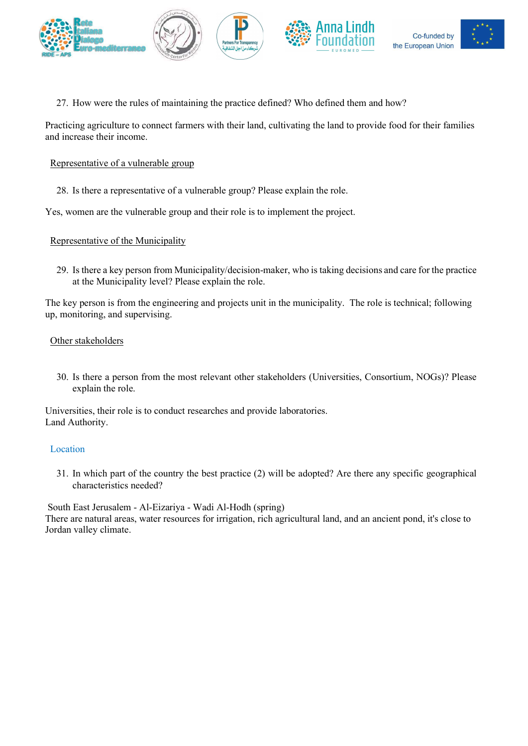





27. How were the rules of maintaining the practice defined? Who defined them and how?

Practicing agriculture to connect farmers with their land, cultivating the land to provide food for their families and increase their income.

## Representative of a vulnerable group

28. Is there a representative of a vulnerable group? Please explain the role.

Yes, women are the vulnerable group and their role is to implement the project.

## Representative of the Municipality

29. Is there a key person from Municipality/decision-maker, who is taking decisions and care for the practice at the Municipality level? Please explain the role.

The key person is from the engineering and projects unit in the municipality. The role is technical; following up, monitoring, and supervising.

## Other stakeholders

30. Is there a person from the most relevant other stakeholders (Universities, Consortium, NOGs)? Please explain the role.

Universities, their role is to conduct researches and provide laboratories. Land Authority.

#### Location

31. In which part of the country the best practice (2) will be adopted? Are there any specific geographical characteristics needed?

 South East Jerusalem - Al-Eizariya - Wadi Al-Hodh (spring) There are natural areas, water resources for irrigation, rich agricultural land, and an ancient pond, it's close to Jordan valley climate.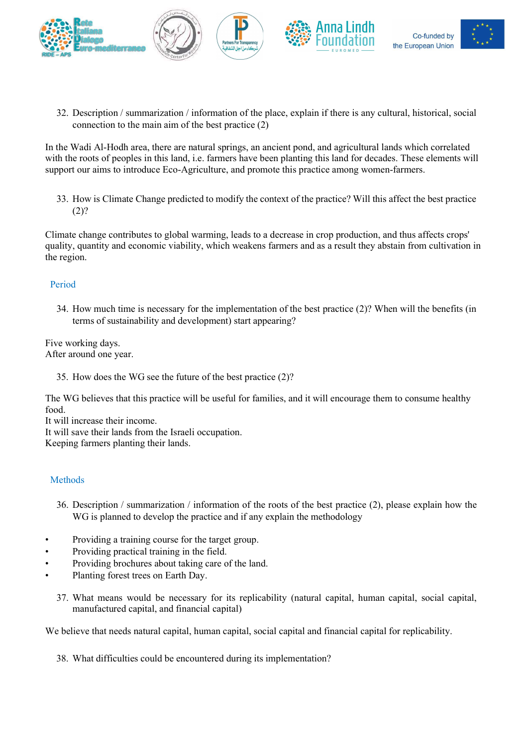









32. Description / summarization / information of the place, explain if there is any cultural, historical, social connection to the main aim of the best practice (2)

In the Wadi Al-Hodh area, there are natural springs, an ancient pond, and agricultural lands which correlated with the roots of peoples in this land, i.e. farmers have been planting this land for decades. These elements will support our aims to introduce Eco-Agriculture, and promote this practice among women-farmers.

33. How is Climate Change predicted to modify the context of the practice? Will this affect the best practice  $(2)?$ 

Climate change contributes to global warming, leads to a decrease in crop production, and thus affects crops' quality, quantity and economic viability, which weakens farmers and as a result they abstain from cultivation in the region.

# Period

34. How much time is necessary for the implementation of the best practice (2)? When will the benefits (in terms of sustainability and development) start appearing?

Five working days. After around one year.

35. How does the WG see the future of the best practice (2)?

The WG believes that this practice will be useful for families, and it will encourage them to consume healthy food.

It will increase their income.

It will save their lands from the Israeli occupation.

Keeping farmers planting their lands.

# Methods

- 36. Description / summarization / information of the roots of the best practice (2), please explain how the WG is planned to develop the practice and if any explain the methodology
- Providing a training course for the target group.
- Providing practical training in the field.
- Providing brochures about taking care of the land.
- Planting forest trees on Earth Day.
	- 37. What means would be necessary for its replicability (natural capital, human capital, social capital, manufactured capital, and financial capital)

We believe that needs natural capital, human capital, social capital and financial capital for replicability.

38. What difficulties could be encountered during its implementation?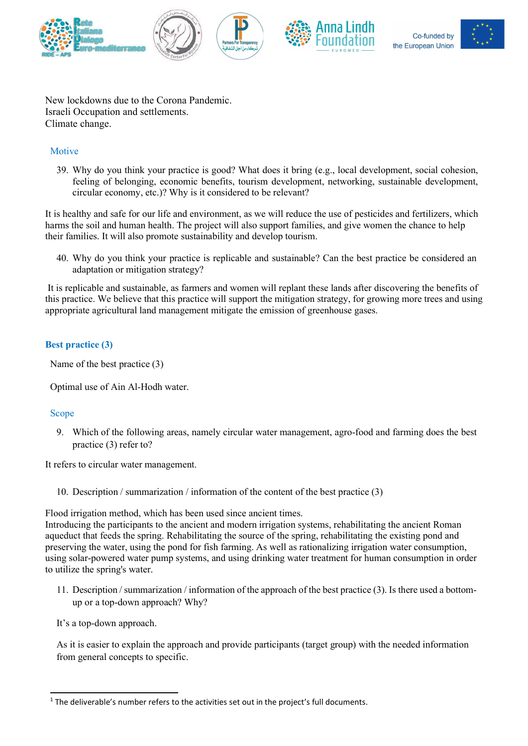







New lockdowns due to the Corona Pandemic. Israeli Occupation and settlements. Climate change.

# **Motive**

39. Why do you think your practice is good? What does it bring (e.g., local development, social cohesion, feeling of belonging, economic benefits, tourism development, networking, sustainable development, circular economy, etc.)? Why is it considered to be relevant?

It is healthy and safe for our life and environment, as we will reduce the use of pesticides and fertilizers, which harms the soil and human health. The project will also support families, and give women the chance to help their families. It will also promote sustainability and develop tourism.

40. Why do you think your practice is replicable and sustainable? Can the best practice be considered an adaptation or mitigation strategy?

 It is replicable and sustainable, as farmers and women will replant these lands after discovering the benefits of this practice. We believe that this practice will support the mitigation strategy, for growing more trees and using appropriate agricultural land management mitigate the emission of greenhouse gases.

# Best practice (3)

Name of the best practice (3)

Optimal use of Ain Al-Hodh water.

# Scope

9. Which of the following areas, namely circular water management, agro-food and farming does the best practice (3) refer to?

It refers to circular water management.

10. Description / summarization / information of the content of the best practice (3)

Flood irrigation method, which has been used since ancient times.

Introducing the participants to the ancient and modern irrigation systems, rehabilitating the ancient Roman aqueduct that feeds the spring. Rehabilitating the source of the spring, rehabilitating the existing pond and preserving the water, using the pond for fish farming. As well as rationalizing irrigation water consumption, using solar-powered water pump systems, and using drinking water treatment for human consumption in order to utilize the spring's water.

11. Description / summarization / information of the approach of the best practice (3). Is there used a bottomup or a top-down approach? Why?

It's a top-down approach.

As it is easier to explain the approach and provide participants (target group) with the needed information from general concepts to specific.

 $<sup>1</sup>$  The deliverable's number refers to the activities set out in the project's full documents.</sup>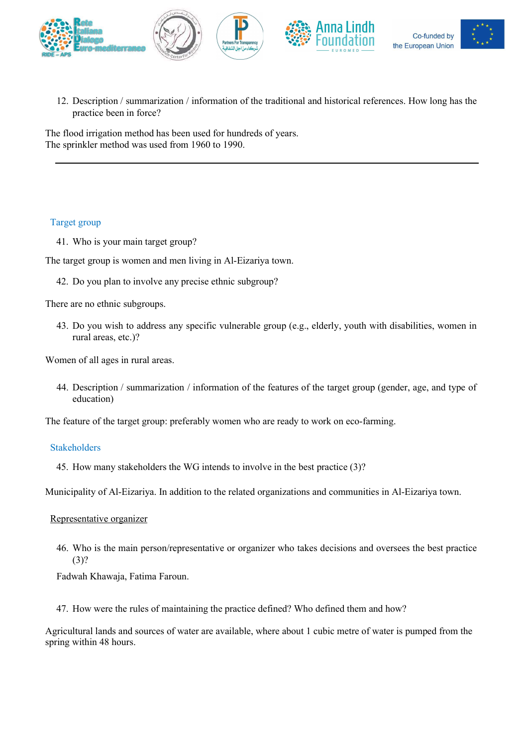

12. Description / summarization / information of the traditional and historical references. How long has the practice been in force?

The flood irrigation method has been used for hundreds of years. The sprinkler method was used from 1960 to 1990.

## Target group

41. Who is your main target group?

The target group is women and men living in Al-Eizariya town.

42. Do you plan to involve any precise ethnic subgroup?

There are no ethnic subgroups.

43. Do you wish to address any specific vulnerable group (e.g., elderly, youth with disabilities, women in rural areas, etc.)?

Women of all ages in rural areas.

44. Description / summarization / information of the features of the target group (gender, age, and type of education)

The feature of the target group: preferably women who are ready to work on eco-farming.

#### Stakeholders

45. How many stakeholders the WG intends to involve in the best practice (3)?

Municipality of Al-Eizariya. In addition to the related organizations and communities in Al-Eizariya town.

#### Representative organizer

46. Who is the main person/representative or organizer who takes decisions and oversees the best practice (3)?

Fadwah Khawaja, Fatima Faroun.

47. How were the rules of maintaining the practice defined? Who defined them and how?

Agricultural lands and sources of water are available, where about 1 cubic metre of water is pumped from the spring within 48 hours.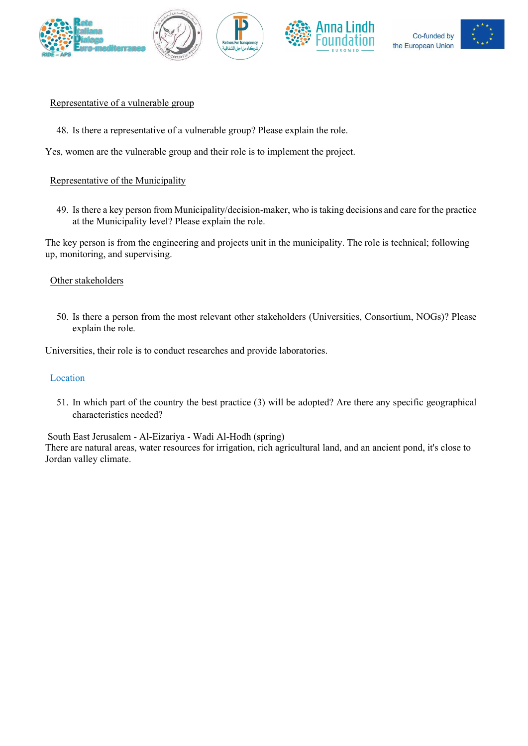









#### Representative of a vulnerable group

48. Is there a representative of a vulnerable group? Please explain the role.

Yes, women are the vulnerable group and their role is to implement the project.

## Representative of the Municipality

49. Is there a key person from Municipality/decision-maker, who is taking decisions and care for the practice at the Municipality level? Please explain the role.

The key person is from the engineering and projects unit in the municipality. The role is technical; following up, monitoring, and supervising.

#### Other stakeholders

50. Is there a person from the most relevant other stakeholders (Universities, Consortium, NOGs)? Please explain the role.

Universities, their role is to conduct researches and provide laboratories.

### Location

51. In which part of the country the best practice (3) will be adopted? Are there any specific geographical characteristics needed?

South East Jerusalem - Al-Eizariya - Wadi Al-Hodh (spring)

There are natural areas, water resources for irrigation, rich agricultural land, and an ancient pond, it's close to Jordan valley climate.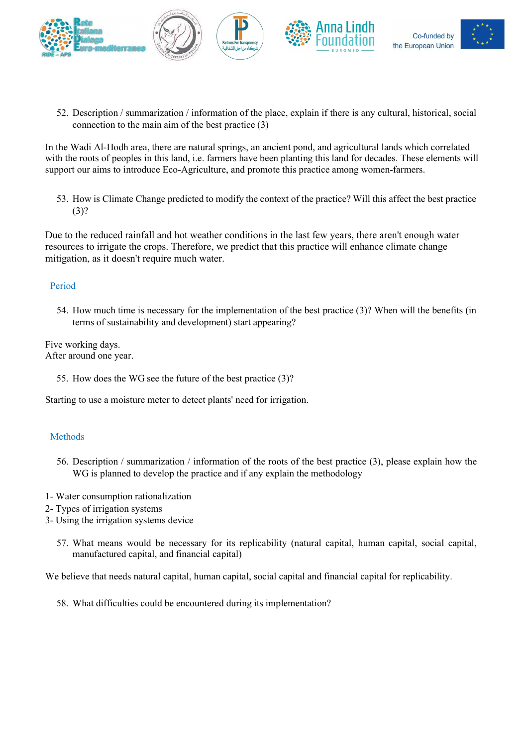









52. Description / summarization / information of the place, explain if there is any cultural, historical, social connection to the main aim of the best practice (3)

In the Wadi Al-Hodh area, there are natural springs, an ancient pond, and agricultural lands which correlated with the roots of peoples in this land, i.e. farmers have been planting this land for decades. These elements will support our aims to introduce Eco-Agriculture, and promote this practice among women-farmers.

53. How is Climate Change predicted to modify the context of the practice? Will this affect the best practice (3)?

Due to the reduced rainfall and hot weather conditions in the last few years, there aren't enough water resources to irrigate the crops. Therefore, we predict that this practice will enhance climate change mitigation, as it doesn't require much water.

# Period

54. How much time is necessary for the implementation of the best practice (3)? When will the benefits (in terms of sustainability and development) start appearing?

Five working days. After around one year.

55. How does the WG see the future of the best practice (3)?

Starting to use a moisture meter to detect plants' need for irrigation.

# Methods

- 56. Description / summarization / information of the roots of the best practice (3), please explain how the WG is planned to develop the practice and if any explain the methodology
- 1- Water consumption rationalization
- 2- Types of irrigation systems
- 3- Using the irrigation systems device
	- 57. What means would be necessary for its replicability (natural capital, human capital, social capital, manufactured capital, and financial capital)

We believe that needs natural capital, human capital, social capital and financial capital for replicability.

58. What difficulties could be encountered during its implementation?